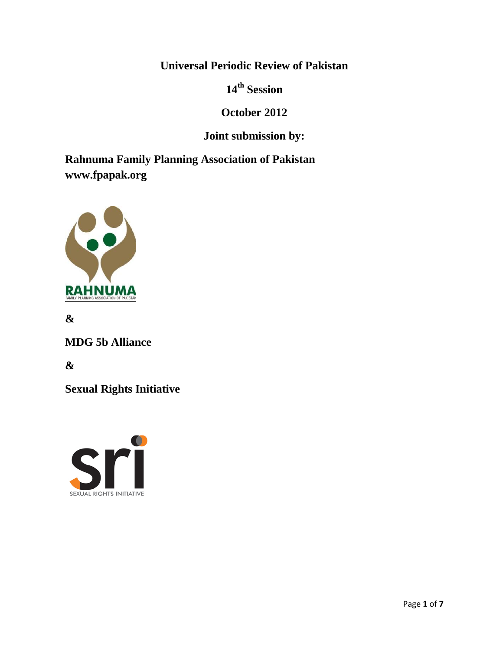**Universal Periodic Review of Pakistan**

**14th Session**

# **October 2012**

# **Joint submission by:**

**Rahnuma Family Planning Association of Pakistan www.fpapak.org**



**&** 

**MDG 5b Alliance**

**&**

**Sexual Rights Initiative**

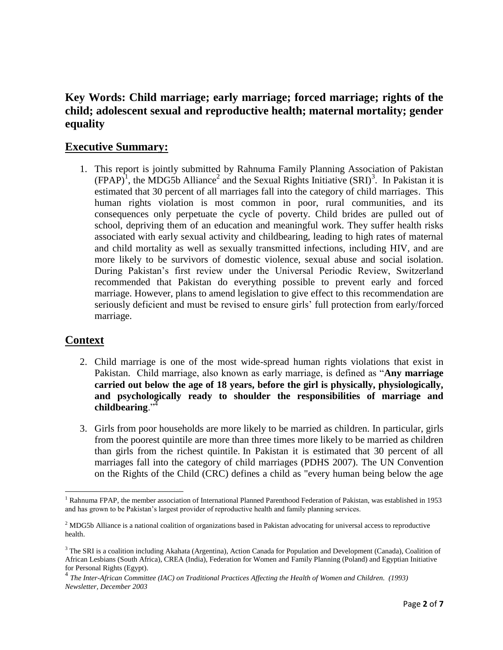# **Key Words: Child marriage; early marriage; forced marriage; rights of the child; adolescent sexual and reproductive health; maternal mortality; gender equality**

# **Executive Summary:**

1. This report is jointly submitted by Rahnuma Family Planning Association of Pakistan  $(FPAP)^{1}$ , the MDG5b Alliance<sup>2</sup> and the Sexual Rights Initiative  $(SRI)^{3}$ . In Pakistan it is estimated that 30 percent of all marriages fall into the category of child marriages. This human rights violation is most common in poor, rural communities, and its consequences only perpetuate the cycle of poverty. Child brides are pulled out of school, depriving them of an education and meaningful work. They suffer health risks associated with early sexual activity and childbearing, leading to high rates of maternal and child mortality as well as sexually transmitted infections, including HIV, and are more likely to be survivors of domestic violence, sexual abuse and social isolation. During Pakistan's first review under the Universal Periodic Review, Switzerland recommended that Pakistan do everything possible to prevent early and forced marriage. However, plans to amend legislation to give effect to this recommendation are seriously deficient and must be revised to ensure girls' full protection from early/forced marriage.

## **Context**

- 2. Child marriage is one of the most wide-spread human rights violations that exist in Pakistan. Child marriage, also known as early marriage, is defined as "Any marriage **carried out below the age of 18 years, before the girl is physically, physiologically, and psychologically ready to shoulder the responsibilities of marriage and**  childbearing."
- 3. Girls from poor households are more likely to be married as children. In particular, girls from the poorest quintile are more than three times more likely to be married as children than girls from the richest quintile. In Pakistan it is estimated that 30 percent of all marriages fall into the category of child marriages (PDHS 2007). The UN Convention on the Rights of the Child (CRC) defines a child as "every human being below the age

 $\overline{\phantom{a}}$  $1$  Rahnuma FPAP, the member association of International Planned Parenthood Federation of Pakistan, was established in 1953 and has grown to be Pakistan's largest provider of reproductive health and family planning services.

<sup>&</sup>lt;sup>2</sup> MDG5b Alliance is a national coalition of organizations based in Pakistan advocating for universal access to reproductive health.

<sup>&</sup>lt;sup>3</sup> The SRI is a coalition including Akahata (Argentina), Action Canada for Population and Development (Canada), Coalition of African Lesbians (South Africa), CREA (India), Federation for Women and Family Planning (Poland) and Egyptian Initiative for Personal Rights (Egypt).

<sup>4</sup> *The Inter-African Committee (IAC) on Traditional Practices Affecting the Health of Women and Children. (1993) Newsletter, December 2003*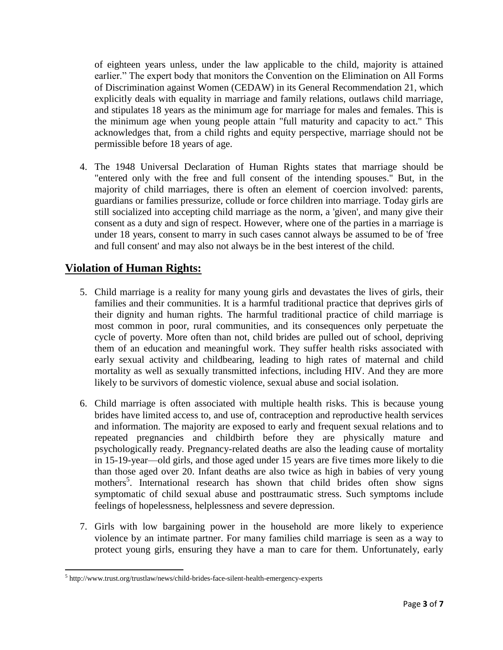of eighteen years unless, under the law applicable to the child, majority is attained earlier." The expert body that monitors the Convention on the Elimination on All Forms of Discrimination against Women (CEDAW) in its General Recommendation 21, which explicitly deals with equality in marriage and family relations, outlaws child marriage, and stipulates 18 years as the minimum age for marriage for males and females. This is the minimum age when young people attain "full maturity and capacity to act." This acknowledges that, from a child rights and equity perspective, marriage should not be permissible before 18 years of age.

4. The 1948 Universal Declaration of Human Rights states that marriage should be "entered only with the free and full consent of the intending spouses." But, in the majority of child marriages, there is often an element of coercion involved: parents, guardians or families pressurize, collude or force children into marriage. Today girls are still socialized into accepting child marriage as the norm, a 'given', and many give their consent as a duty and sign of respect. However, where one of the parties in a marriage is under 18 years, consent to marry in such cases cannot always be assumed to be of 'free and full consent' and may also not always be in the best interest of the child.

# **Violation of Human Rights:**

l

- 5. Child marriage is a reality for many young girls and devastates the lives of girls, their families and their communities. It is a harmful traditional practice that deprives girls of their dignity and human rights. The harmful traditional practice of child marriage is most common in poor, rural communities, and its consequences only perpetuate the cycle of poverty. More often than not, child brides are pulled out of school, depriving them of an education and meaningful work. They suffer health risks associated with early sexual activity and childbearing, leading to high rates of maternal and child mortality as well as sexually transmitted infections, including HIV. And they are more likely to be survivors of domestic violence, sexual abuse and social isolation.
- 6. Child marriage is often associated with multiple health risks. This is because young brides have limited access to, and use of, contraception and reproductive health services and information. The majority are exposed to early and frequent sexual relations and to repeated pregnancies and childbirth before they are physically mature and psychologically ready. Pregnancy-related deaths are also the leading cause of mortality in 15-19-year—old girls, and those aged under 15 years are five times more likely to die than those aged over 20. Infant deaths are also twice as high in babies of very young mothers<sup>5</sup>. International research has shown that child brides often show signs symptomatic of child sexual abuse and posttraumatic stress. Such symptoms include feelings of hopelessness, helplessness and severe depression.
- 7. Girls with low bargaining power in the household are more likely to experience violence by an intimate partner. For many families child marriage is seen as a way to protect young girls, ensuring they have a man to care for them. Unfortunately, early

<sup>&</sup>lt;sup>5</sup> http://www.trust.org/trustlaw/news/child-brides-face-silent-health-emergency-experts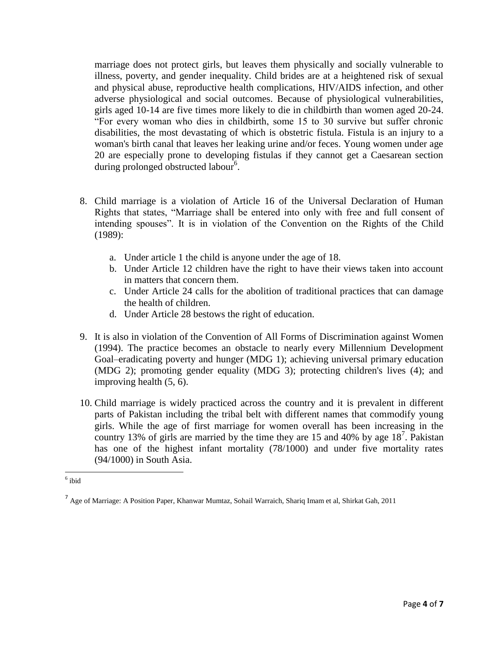marriage does not protect girls, but leaves them physically and socially vulnerable to illness, poverty, and gender inequality. Child brides are at a heightened risk of sexual and physical abuse, reproductive health complications, HIV/AIDS infection, and other adverse physiological and social outcomes. Because of physiological vulnerabilities, girls aged 10-14 are five times more likely to die in childbirth than women aged 20-24. ―For every woman who dies in childbirth, some 15 to 30 survive but suffer chronic disabilities, the most devastating of which is obstetric fistula. Fistula is an injury to a woman's birth canal that leaves her leaking urine and/or feces. Young women under age 20 are especially prone to developing fistulas if they cannot get a Caesarean section during prolonged obstructed labour<sup>6</sup>.

- 8. Child marriage is a violation of Article 16 of the Universal Declaration of Human Rights that states, "Marriage shall be entered into only with free and full consent of intending spouses". It is in violation of the Convention on the Rights of the Child (1989):
	- a. Under article 1 the child is anyone under the age of 18.
	- b. Under Article 12 children have the right to have their views taken into account in matters that concern them.
	- c. Under Article 24 calls for the abolition of traditional practices that can damage the health of children.
	- d. Under Article 28 bestows the right of education.
- 9. It is also in violation of the Convention of All Forms of Discrimination against Women (1994). The practice becomes an obstacle to nearly every Millennium Development Goal–eradicating poverty and hunger (MDG 1); achieving universal primary education (MDG 2); promoting gender equality (MDG 3); protecting children's lives (4); and improving health (5, 6).
- 10. Child marriage is widely practiced across the country and it is prevalent in different parts of Pakistan including the tribal belt with different names that commodify young girls. While the age of first marriage for women overall has been increasing in the country 13% of girls are married by the time they are 15 and 40% by age  $18<sup>7</sup>$ . Pakistan has one of the highest infant mortality (78/1000) and under five mortality rates (94/1000) in South Asia.

 6 ibid

<sup>&</sup>lt;sup>7</sup> Age of Marriage: A Position Paper, Khanwar Mumtaz, Sohail Warraich, Shariq Imam et al, Shirkat Gah, 2011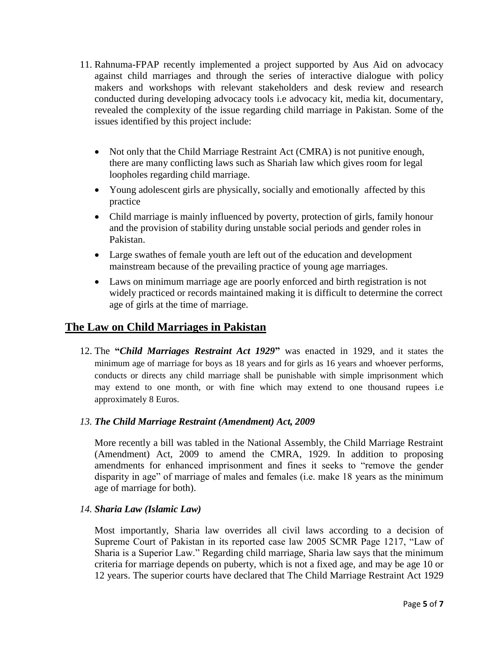- 11. Rahnuma-FPAP recently implemented a project supported by Aus Aid on advocacy against child marriages and through the series of interactive dialogue with policy makers and workshops with relevant stakeholders and desk review and research conducted during developing advocacy tools i.e advocacy kit, media kit, documentary, revealed the complexity of the issue regarding child marriage in Pakistan. Some of the issues identified by this project include:
	- Not only that the Child Marriage Restraint Act (CMRA) is not punitive enough, there are many conflicting laws such as Shariah law which gives room for legal loopholes regarding child marriage.
	- Young adolescent girls are physically, socially and emotionally affected by this practice
	- Child marriage is mainly influenced by poverty, protection of girls, family honour and the provision of stability during unstable social periods and gender roles in Pakistan.
	- Large swathes of female youth are left out of the education and development mainstream because of the prevailing practice of young age marriages.
	- Laws on minimum marriage age are poorly enforced and birth registration is not widely practiced or records maintained making it is difficult to determine the correct age of girls at the time of marriage.

# **The Law on Child Marriages in Pakistan**

12. The **"***Child Marriages Restraint Act 1929***"** was enacted in 1929, and it states the minimum age of marriage for boys as 18 years and for girls as 16 years and whoever performs, conducts or directs any child marriage shall be punishable with simple imprisonment which may extend to one month, or with fine which may extend to one thousand rupees i.e approximately 8 Euros.

### *13. The Child Marriage Restraint (Amendment) Act, 2009*

More recently a bill was tabled in the National Assembly, the Child Marriage Restraint (Amendment) Act, 2009 to amend the CMRA, 1929. In addition to proposing amendments for enhanced imprisonment and fines it seeks to "remove the gender disparity in age" of marriage of males and females (i.e. make 18 years as the minimum age of marriage for both).

### *14. Sharia Law (Islamic Law)*

Most importantly, Sharia law overrides all civil laws according to a decision of Supreme Court of Pakistan in its reported case law 2005 SCMR Page 1217, "Law of Sharia is a Superior Law.‖ Regarding child marriage, Sharia law says that the minimum criteria for marriage depends on puberty, which is not a fixed age, and may be age 10 or 12 years. The superior courts have declared that The Child Marriage Restraint Act 1929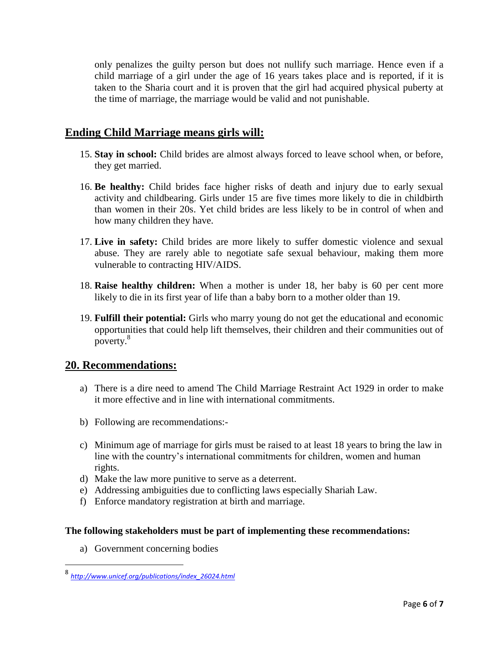only penalizes the guilty person but does not nullify such marriage. Hence even if a child marriage of a girl under the age of 16 years takes place and is reported, if it is taken to the Sharia court and it is proven that the girl had acquired physical puberty at the time of marriage, the marriage would be valid and not punishable.

## **Ending Child Marriage means girls will:**

- 15. **Stay in school:** Child brides are almost always forced to leave school when, or before, they get married.
- 16. **Be healthy:** Child brides face higher risks of death and injury due to early sexual activity and childbearing. Girls under 15 are five times more likely to die in childbirth than women in their 20s. Yet child brides are less likely to be in control of when and how many children they have.
- 17. **Live in safety:** Child brides are more likely to suffer domestic violence and sexual abuse. They are rarely able to negotiate safe sexual behaviour, making them more vulnerable to contracting HIV/AIDS.
- 18. **Raise healthy children:** When a mother is under 18, her baby is 60 per cent more likely to die in its first year of life than a baby born to a mother older than 19.
- 19. **Fulfill their potential:** Girls who marry young do not get the educational and economic opportunities that could help lift themselves, their children and their communities out of poverty.<sup>8</sup>

## **20. Recommendations:**

- a) There is a dire need to amend The Child Marriage Restraint Act 1929 in order to make it more effective and in line with international commitments.
- b) Following are recommendations:-
- c) Minimum age of marriage for girls must be raised to at least 18 years to bring the law in line with the country's international commitments for children, women and human rights.
- d) Make the law more punitive to serve as a deterrent.
- e) Addressing ambiguities due to conflicting laws especially Shariah Law.
- f) Enforce mandatory registration at birth and marriage.

#### **The following stakeholders must be part of implementing these recommendations:**

a) Government concerning bodies

l

<sup>8</sup> *[http://www.unicef.org/publications/index\\_26024.html](http://www.unicef.org/publications/index_26024.html)*